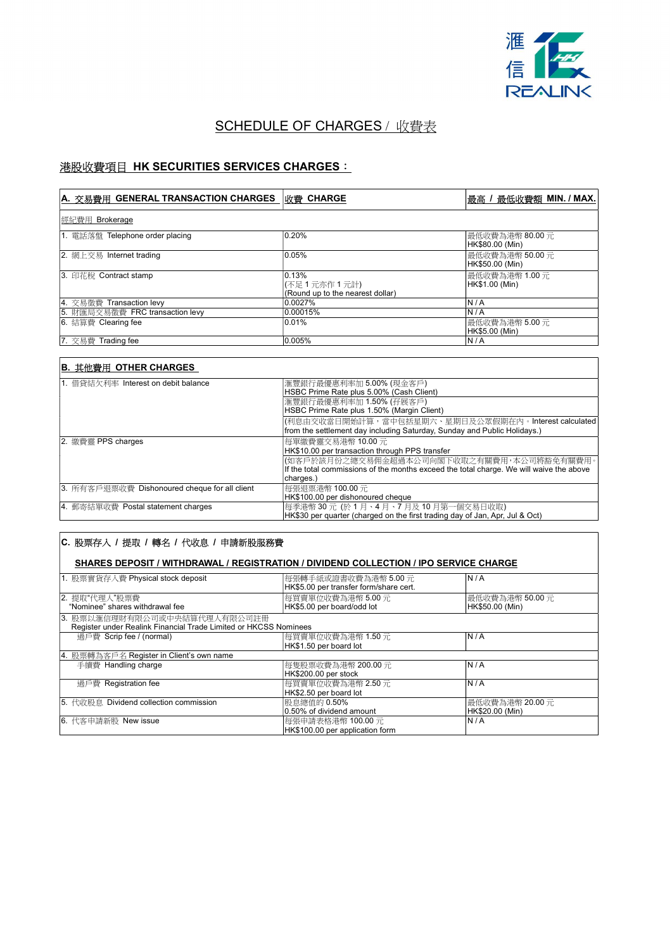

# **SCHEDULE OF CHARGES** / 收費表

## 港股收費項目 HK SECURITIES SERVICES CHARGES:

| A. 交易費用 GENERAL TRANSACTION CHARGES | 收費 CHARGE                                                  | 最低收費額 MIN./MAX.<br> 最高 /            |
|-------------------------------------|------------------------------------------------------------|-------------------------------------|
| 經紀費用 Brokerage                      |                                                            |                                     |
| 1. 電話落盤 Telephone order placing     | 0.20%                                                      | 最低收費為港幣 80.00 元 <br>HK\$80.00 (Min) |
| 2. 網上交易 Internet trading            | 0.05%                                                      | 最低收費為港幣 50.00 元<br>HK\$50.00 (Min)  |
| 13. 印花稅 Contract stamp              | 0.13%<br> (不足1元亦作1元計) <br>(Round up to the nearest dollar) | 最低收費為港幣 1.00 元<br>HK\$1.00 (Min)    |
| 4. 交易徵費 Transaction levy            | 0.0027%                                                    | N/A                                 |
| 5. 財匯局交易徵費 FRC transaction levy     | 0.00015%                                                   | N/A                                 |
| 6. 結算費 Clearing fee                 | 0.01%                                                      | 最低收費為港幣 5.00 元 <br>HK\$5.00 (Min)   |
| 7. 交易費 Trading fee                  | 0.005%                                                     | N/A                                 |

# B. 其他費用 OTHER CHARGES

| 1. 借貸結欠利率 Interest on debit balance           | 滙豐銀行最優惠利率加 5.00% (現金客戶)                                                                 |
|-----------------------------------------------|-----------------------------------------------------------------------------------------|
|                                               | HSBC Prime Rate plus 5.00% (Cash Client)                                                |
|                                               | 滙豐銀行最優惠利率加 1.50% (孖展客戶)                                                                 |
|                                               | HSBC Prime Rate plus 1.50% (Margin Client)                                              |
|                                               | (利息由交收當日開始計算,當中包括星期六、星期日及公眾假期在內。Interest calculated                                     |
|                                               | from the settlement day including Saturday, Sunday and Public Holidays.)                |
| 2. 繳費靈 PPS charges                            | 每單繳費靈交易港幣 10.00 元                                                                       |
|                                               | HK\$10.00 per transaction through PPS transfer                                          |
|                                               | (如客戶於該月份之總交易佣金超過本公司向閣下收取之有關費用,本公司將豁免有關費用。                                               |
|                                               | If the total commissions of the months exceed the total charge. We will waive the above |
|                                               | charges.)                                                                               |
| 3. 所有客戶退票收費 Dishonoured cheque for all client | 每張退票港幣 100.00 元                                                                         |
|                                               | HK\$100.00 per dishonoured cheque                                                       |
| 4. 郵寄結單收費 Postal statement charges            | 每季港幣 30 元 (於 1 月、4 月、7 月及 10 月第一個交易日收取)                                                 |
|                                               | HK\$30 per quarter (charged on the first trading day of Jan, Apr, Jul & Oct)            |

### C. 股票存入 / 提取 / 轉名 / 代收息 / 申請新股服務費

#### SHARES DEPOSIT / WITHDRAWAL / REGISTRATION / DIVIDEND COLLECTION / IPO SERVICE CHARGE

| 1. 股票實貨存入費 Physical stock deposit                                | 每張轉手紙或證書收費為港幣 5.00 元 <br>HK\$5.00 per transfer form/share cert. | N/A             |
|------------------------------------------------------------------|-----------------------------------------------------------------|-----------------|
| 2. 提取"代理人"股票費                                                    | 每買賣單位收費為港幣 5.00元                                                | 最低收費為港幣 50.00 元 |
| "Nominee" shares withdrawal fee                                  | HK\$5.00 per board/odd lot                                      | HK\$50.00 (Min) |
| 3. 股票以滙信理財有限公司或中央結算代理人有限公司註冊                                     |                                                                 |                 |
| Register under Realink Financial Trade Limited or HKCSS Nominees |                                                                 |                 |
| 過戶費 Scrip fee / (normal)                                         | 每買賣單位收費為港幣 1.50元                                                | N/A             |
|                                                                  | HK\$1.50 per board lot                                          |                 |
| 4. 股票轉為客戶名 Register in Client's own name                         |                                                                 |                 |
| 手續費 Handling charge                                              | 每隻股票收費為港幣 200.00 元                                              | N/A             |
|                                                                  | HK\$200.00 per stock                                            |                 |
| 過戶費 Registration fee                                             | 每買賣單位收費為港幣 2.50元                                                | N/A             |
|                                                                  | HK\$2.50 per board lot                                          |                 |
| 5. 代收股息 Dividend collection commission                           | 股息總值的 0.50%                                                     | 最低收費為港幣 20.00 元 |
|                                                                  | 0.50% of dividend amount                                        | HK\$20.00 (Min) |
| 6. 代客申請新股 New issue                                              | 每張申請表格港幣 100.00 元                                               | N/A             |
|                                                                  | HK\$100.00 per application form                                 |                 |